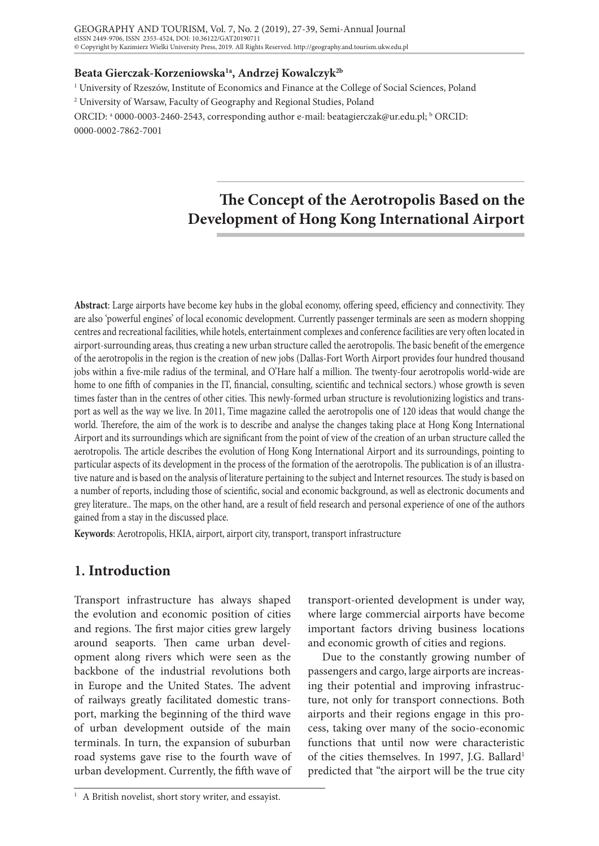#### **Beata Gierczak-Korzeniowska1a, Andrzej Kowalczyk2b**

1 University of Rzeszów, Institute of Economics and Finance at the College of Social Sciences, Poland

2 University of Warsaw, Faculty of Geography and Regional Studies, Poland

ORCID: <sup>a</sup> 0000-0003-2460-2543, corresponding author e-mail: beatagierczak@ur.edu.pl; <sup>b</sup> ORCID: 0000-0002-7862-7001

# **The Concept of the Aerotropolis Based on the Development of Hong Kong International Airport**

**Abstract**: Large airports have become key hubs in the global economy, offering speed, efficiency and connectivity. They are also 'powerful engines' of local economic development. Currently passenger terminals are seen as modern shopping centres and recreational facilities, while hotels, entertainment complexes and conference facilities are very often located in airport-surrounding areas, thus creating a new urban structure called the aerotropolis. The basic benefit of the emergence of the aerotropolis in the region is the creation of new jobs (Dallas-Fort Worth Airport provides four hundred thousand jobs within a five-mile radius of the terminal, and O'Hare half a million. The twenty-four aerotropolis world-wide are home to one fifth of companies in the IT, financial, consulting, scientific and technical sectors.) whose growth is seven times faster than in the centres of other cities. This newly-formed urban structure is revolutionizing logistics and transport as well as the way we live. In 2011, Time magazine called the aerotropolis one of 120 ideas that would change the world. Therefore, the aim of the work is to describe and analyse the changes taking place at Hong Kong International Airport and its surroundings which are significant from the point of view of the creation of an urban structure called the aerotropolis. The article describes the evolution of Hong Kong International Airport and its surroundings, pointing to particular aspects of its development in the process of the formation of the aerotropolis. The publication is of an illustrative nature and is based on the analysis of literature pertaining to the subject and Internet resources. The study is based on a number of reports, including those of scientific, social and economic background, as well as electronic documents and grey literature.. The maps, on the other hand, are a result of field research and personal experience of one of the authors gained from a stay in the discussed place.

**Keywords**: Aerotropolis, HKIA, airport, airport city, transport, transport infrastructure

## **1. Introduction**

Transport infrastructure has always shaped the evolution and economic position of cities and regions. The first major cities grew largely around seaports. Then came urban development along rivers which were seen as the backbone of the industrial revolutions both in Europe and the United States. The advent of railways greatly facilitated domestic transport, marking the beginning of the third wave of urban development outside of the main terminals. In turn, the expansion of suburban road systems gave rise to the fourth wave of urban development. Currently, the fifth wave of

transport-oriented development is under way, where large commercial airports have become important factors driving business locations and economic growth of cities and regions.

Due to the constantly growing number of passengers and cargo, large airports are increasing their potential and improving infrastructure, not only for transport connections. Both airports and their regions engage in this process, taking over many of the socio-economic functions that until now were characteristic of the cities themselves. In 1997, J.G. Ballard<sup>1</sup> predicted that "the airport will be the true city

<sup>&</sup>lt;sup>1</sup> A British novelist, short story writer, and essayist.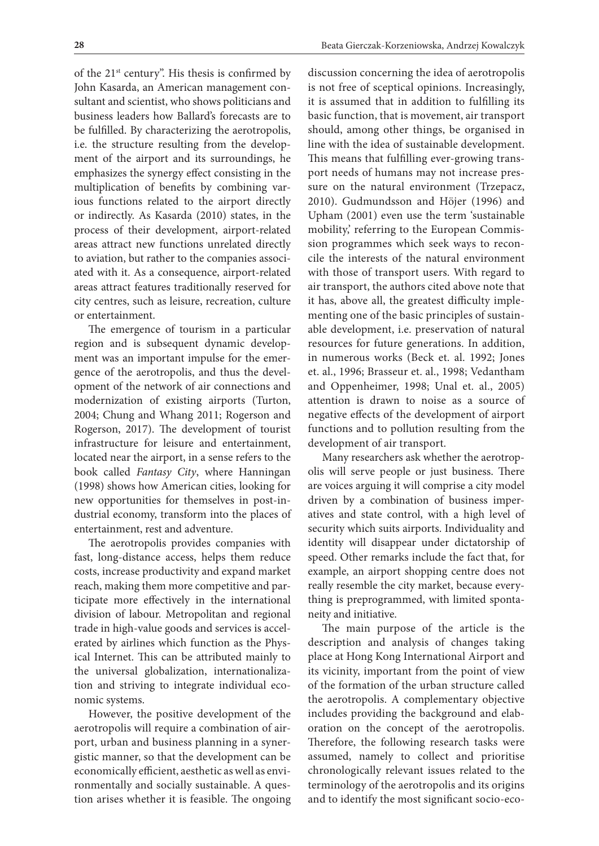of the 21<sup>st</sup> century". His thesis is confirmed by John Kasarda, an American management consultant and scientist, who shows politicians and business leaders how Ballard's forecasts are to be fulfilled. By characterizing the aerotropolis, i.e. the structure resulting from the development of the airport and its surroundings, he emphasizes the synergy effect consisting in the multiplication of benefits by combining various functions related to the airport directly or indirectly. As Kasarda (2010) states, in the process of their development, airport-related areas attract new functions unrelated directly to aviation, but rather to the companies associated with it. As a consequence, airport-related areas attract features traditionally reserved for city centres, such as leisure, recreation, culture or entertainment.

The emergence of tourism in a particular region and is subsequent dynamic development was an important impulse for the emergence of the aerotropolis, and thus the development of the network of air connections and modernization of existing airports (Turton, 2004; Chung and Whang 2011; Rogerson and Rogerson, 2017). The development of tourist infrastructure for leisure and entertainment, located near the airport, in a sense refers to the book called *Fantasy City*, where Hanningan (1998) shows how American cities, looking for new opportunities for themselves in post-industrial economy, transform into the places of entertainment, rest and adventure.

The aerotropolis provides companies with fast, long-distance access, helps them reduce costs, increase productivity and expand market reach, making them more competitive and participate more effectively in the international division of labour. Metropolitan and regional trade in high-value goods and services is accelerated by airlines which function as the Physical Internet. This can be attributed mainly to the universal globalization, internationalization and striving to integrate individual economic systems.

However, the positive development of the aerotropolis will require a combination of airport, urban and business planning in a synergistic manner, so that the development can be economically efficient, aesthetic as well as environmentally and socially sustainable. A question arises whether it is feasible. The ongoing discussion concerning the idea of aerotropolis is not free of sceptical opinions. Increasingly, it is assumed that in addition to fulfilling its basic function, that is movement, air transport should, among other things, be organised in line with the idea of sustainable development. This means that fulfilling ever-growing transport needs of humans may not increase pressure on the natural environment (Trzepacz, 2010). Gudmundsson and Höjer (1996) and Upham (2001) even use the term 'sustainable mobility,' referring to the European Commission programmes which seek ways to reconcile the interests of the natural environment with those of transport users. With regard to air transport, the authors cited above note that it has, above all, the greatest difficulty implementing one of the basic principles of sustainable development, i.e. preservation of natural resources for future generations. In addition, in numerous works (Beck et. al. 1992; Jones et. al., 1996; Brasseur et. al., 1998; Vedantham and Oppenheimer, 1998; Unal et. al., 2005) attention is drawn to noise as a source of negative effects of the development of airport functions and to pollution resulting from the development of air transport.

Many researchers ask whether the aerotropolis will serve people or just business. There are voices arguing it will comprise a city model driven by a combination of business imperatives and state control, with a high level of security which suits airports. Individuality and identity will disappear under dictatorship of speed. Other remarks include the fact that, for example, an airport shopping centre does not really resemble the city market, because everything is preprogrammed, with limited spontaneity and initiative.

The main purpose of the article is the description and analysis of changes taking place at Hong Kong International Airport and its vicinity, important from the point of view of the formation of the urban structure called the aerotropolis. A complementary objective includes providing the background and elaboration on the concept of the aerotropolis. Therefore, the following research tasks were assumed, namely to collect and prioritise chronologically relevant issues related to the terminology of the aerotropolis and its origins and to identify the most significant socio-eco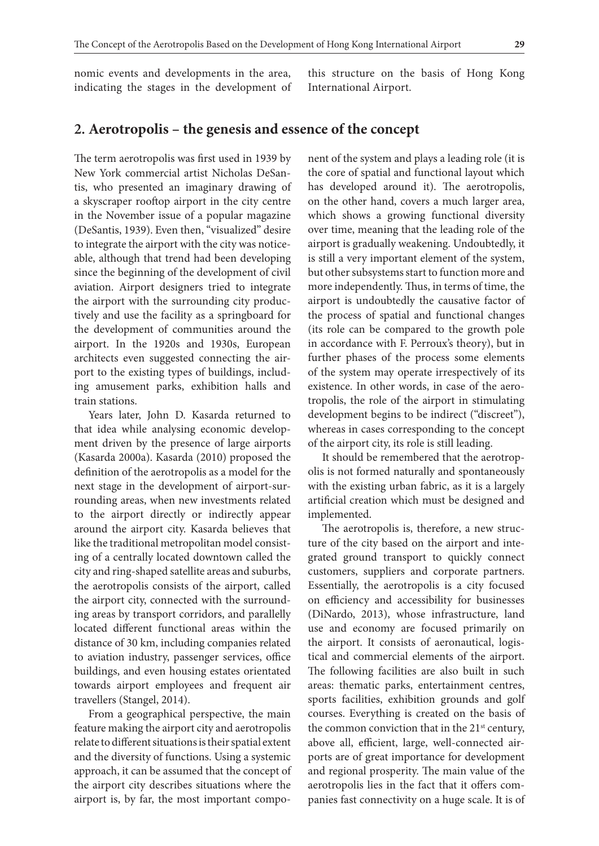nomic events and developments in the area, indicating the stages in the development of this structure on the basis of Hong Kong International Airport.

#### **2. Aerotropolis – the genesis and essence of the concept**

The term aerotropolis was first used in 1939 by New York commercial artist Nicholas DeSantis, who presented an imaginary drawing of a skyscraper rooftop airport in the city centre in the November issue of a popular magazine (DeSantis, 1939). Even then, "visualized" desire to integrate the airport with the city was noticeable, although that trend had been developing since the beginning of the development of civil aviation. Airport designers tried to integrate the airport with the surrounding city productively and use the facility as a springboard for the development of communities around the airport. In the 1920s and 1930s, European architects even suggested connecting the airport to the existing types of buildings, including amusement parks, exhibition halls and train stations.

Years later, John D. Kasarda returned to that idea while analysing economic development driven by the presence of large airports (Kasarda 2000a). Kasarda (2010) proposed the definition of the aerotropolis as a model for the next stage in the development of airport-surrounding areas, when new investments related to the airport directly or indirectly appear around the airport city. Kasarda believes that like the traditional metropolitan model consisting of a centrally located downtown called the city and ring-shaped satellite areas and suburbs, the aerotropolis consists of the airport, called the airport city, connected with the surrounding areas by transport corridors, and parallelly located different functional areas within the distance of 30 km, including companies related to aviation industry, passenger services, office buildings, and even housing estates orientated towards airport employees and frequent air travellers (Stangel, 2014).

From a geographical perspective, the main feature making the airport city and aerotropolis relate to different situations is their spatial extent and the diversity of functions. Using a systemic approach, it can be assumed that the concept of the airport city describes situations where the airport is, by far, the most important component of the system and plays a leading role (it is the core of spatial and functional layout which has developed around it). The aerotropolis, on the other hand, covers a much larger area, which shows a growing functional diversity over time, meaning that the leading role of the airport is gradually weakening. Undoubtedly, it is still a very important element of the system, but other subsystems start to function more and more independently. Thus, in terms of time, the airport is undoubtedly the causative factor of the process of spatial and functional changes (its role can be compared to the growth pole in accordance with F. Perroux's theory), but in further phases of the process some elements of the system may operate irrespectively of its existence. In other words, in case of the aerotropolis, the role of the airport in stimulating development begins to be indirect ("discreet"), whereas in cases corresponding to the concept of the airport city, its role is still leading.

It should be remembered that the aerotropolis is not formed naturally and spontaneously with the existing urban fabric, as it is a largely artificial creation which must be designed and implemented.

The aerotropolis is, therefore, a new structure of the city based on the airport and integrated ground transport to quickly connect customers, suppliers and corporate partners. Essentially, the aerotropolis is a city focused on efficiency and accessibility for businesses (DiNardo, 2013), whose infrastructure, land use and economy are focused primarily on the airport. It consists of aeronautical, logistical and commercial elements of the airport. The following facilities are also built in such areas: thematic parks, entertainment centres, sports facilities, exhibition grounds and golf courses. Everything is created on the basis of the common conviction that in the  $21<sup>st</sup>$  century, above all, efficient, large, well-connected airports are of great importance for development and regional prosperity. The main value of the aerotropolis lies in the fact that it offers companies fast connectivity on a huge scale. It is of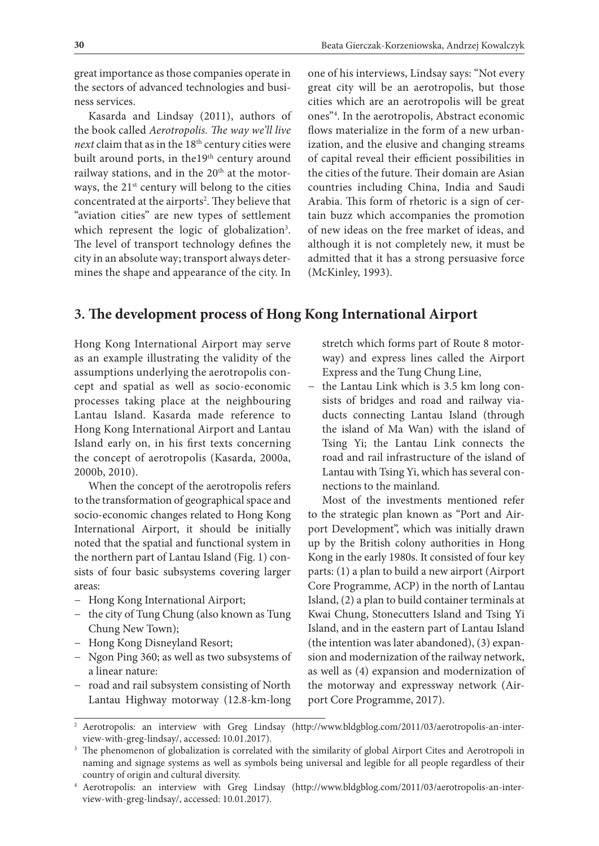great importance as those companies operate in the sectors of advanced technologies and business services.

Kasarda and Lindsay (2011), authors of the book called *Aerotropolis. The way we'll live next* claim that as in the 18<sup>th</sup> century cities were built around ports, in the19<sup>th</sup> century around railway stations, and in the 20<sup>th</sup> at the motorways, the  $21^{st}$  century will belong to the cities concentrated at the airports<sup>2</sup>. They believe that "aviation cities" are new types of settlement which represent the logic of globalization<sup>3</sup>. The level of transport technology defines the city in an absolute way; transport always determines the shape and appearance of the city. In

one of his interviews, Lindsay says: "Not every great city will be an aerotropolis, but those cities which are an aerotropolis will be great ones"4 . In the aerotropolis, Abstract economic flows materialize in the form of a new urbanization, and the elusive and changing streams of capital reveal their efficient possibilities in the cities of the future. Their domain are Asian countries including China, India and Saudi Arabia. This form of rhetoric is a sign of certain buzz which accompanies the promotion of new ideas on the free market of ideas, and although it is not completely new, it must be admitted that it has a strong persuasive force (McKinley, 1993).

### **3. The development process of Hong Kong International Airport**

Hong Kong International Airport may serve as an example illustrating the validity of the assumptions underlying the aerotropolis concept and spatial as well as socio-economic processes taking place at the neighbouring Lantau Island. Kasarda made reference to Hong Kong International Airport and Lantau Island early on, in his first texts concerning the concept of aerotropolis (Kasarda, 2000a, 2000b, 2010).

When the concept of the aerotropolis refers to the transformation of geographical space and socio-economic changes related to Hong Kong International Airport, it should be initially noted that the spatial and functional system in the northern part of Lantau Island (Fig. 1) consists of four basic subsystems covering larger areas:

- − Hong Kong International Airport;
- − the city of Tung Chung (also known as Tung Chung New Town);
- − Hong Kong Disneyland Resort;
- − Ngon Ping 360; as well as two subsystems of a linear nature:
- − road and rail subsystem consisting of North Lantau Highway motorway (12.8-km-long

stretch which forms part of Route 8 motorway) and express lines called the Airport Express and the Tung Chung Line,

− the Lantau Link which is 3.5 km long consists of bridges and road and railway viaducts connecting Lantau Island (through the island of Ma Wan) with the island of Tsing Yi; the Lantau Link connects the road and rail infrastructure of the island of Lantau with Tsing Yi, which has several connections to the mainland.

Most of the investments mentioned refer to the strategic plan known as "Port and Airport Development", which was initially drawn up by the British colony authorities in Hong Kong in the early 1980s. It consisted of four key parts: (1) a plan to build a new airport (Airport Core Programme, ACP) in the north of Lantau Island, (2) a plan to build container terminals at Kwai Chung, Stonecutters Island and Tsing Yi Island, and in the eastern part of Lantau Island (the intention was later abandoned), (3) expansion and modernization of the railway network, as well as (4) expansion and modernization of the motorway and expressway network (Airport Core Programme, 2017).

<sup>2</sup> Aerotropolis: an interview with Greg Lindsay (http://www.bldgblog.com/2011/03/aerotropolis-an-interview-with-greg-lindsay/, accessed: 10.01.2017).

<sup>&</sup>lt;sup>3</sup> The phenomenon of globalization is correlated with the similarity of global Airport Cites and Aerotropoli in naming and signage systems as well as symbols being universal and legible for all people regardless of their country of origin and cultural diversity.

<sup>4</sup> Aerotropolis: an interview with Greg Lindsay (http://www.bldgblog.com/2011/03/aerotropolis-an-interview-with-greg-lindsay/, accessed: 10.01.2017).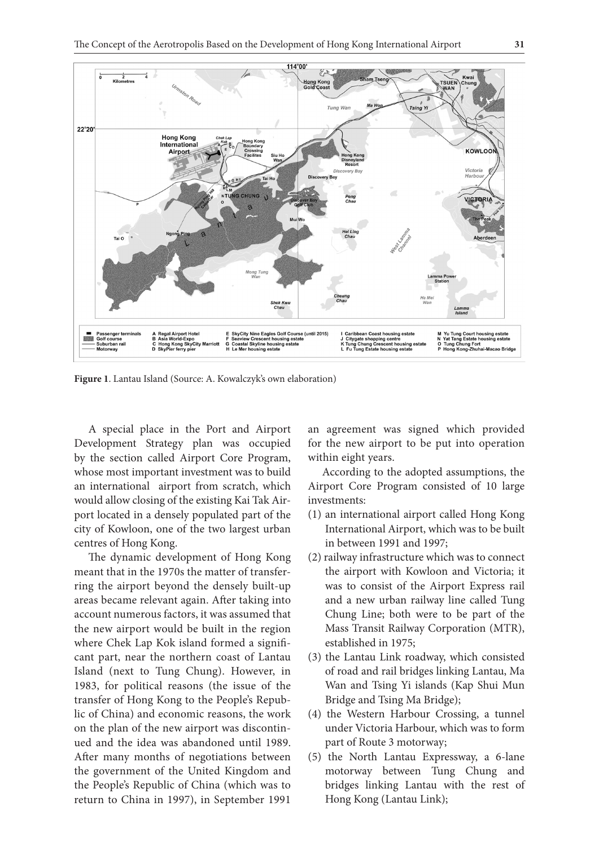

**Figure 1**. Lantau Island (Source: A. Kowalczyk's own elaboration)

A special place in the Port and Airport Development Strategy plan was occupied by the section called Airport Core Program, whose most important investment was to build an international airport from scratch, which would allow closing of the existing Kai Tak Airport located in a densely populated part of the city of Kowloon, one of the two largest urban centres of Hong Kong.

The dynamic development of Hong Kong meant that in the 1970s the matter of transferring the airport beyond the densely built-up areas became relevant again. After taking into account numerous factors, it was assumed that the new airport would be built in the region where Chek Lap Kok island formed a significant part, near the northern coast of Lantau Island (next to Tung Chung). However, in 1983, for political reasons (the issue of the transfer of Hong Kong to the People's Republic of China) and economic reasons, the work on the plan of the new airport was discontinued and the idea was abandoned until 1989. After many months of negotiations between the government of the United Kingdom and the People's Republic of China (which was to return to China in 1997), in September 1991

an agreement was signed which provided for the new airport to be put into operation within eight years.

According to the adopted assumptions, the Airport Core Program consisted of 10 large investments:

- (1) an international airport called Hong Kong International Airport, which was to be built in between 1991 and 1997;
- (2) railway infrastructure which was to connect the airport with Kowloon and Victoria; it was to consist of the Airport Express rail and a new urban railway line called Tung Chung Line; both were to be part of the Mass Transit Railway Corporation (MTR), established in 1975;
- (3) the Lantau Link roadway, which consisted of road and rail bridges linking Lantau, Ma Wan and Tsing Yi islands (Kap Shui Mun Bridge and Tsing Ma Bridge);
- (4) the Western Harbour Crossing, a tunnel under Victoria Harbour, which was to form part of Route 3 motorway;
- (5) the North Lantau Expressway, a 6-lane motorway between Tung Chung and bridges linking Lantau with the rest of Hong Kong (Lantau Link);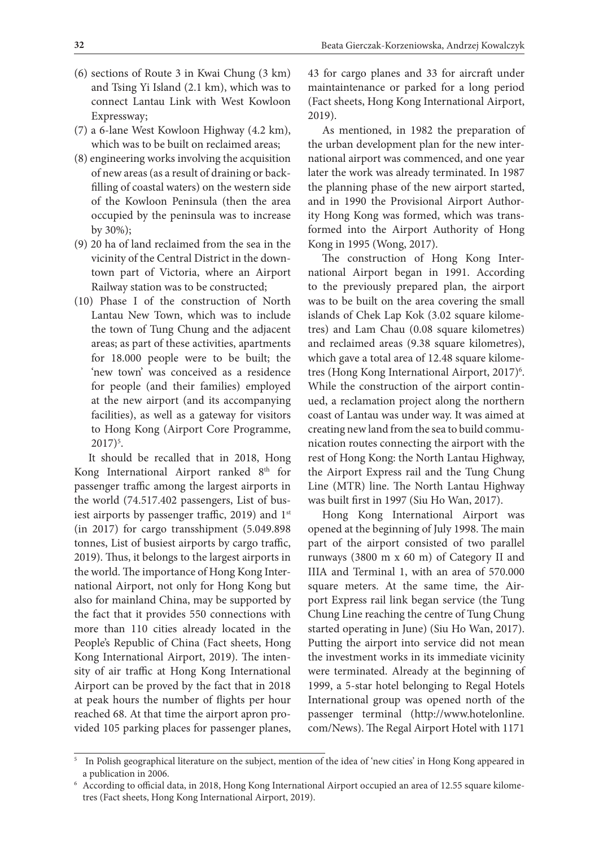- Beata Gierczak-Korzeniowska, Andrzej Kowalczyk
- (6) sections of Route 3 in Kwai Chung (3 km) and Tsing Yi Island (2.1 km), which was to connect Lantau Link with West Kowloon Expressway;
- (7) a 6-lane West Kowloon Highway (4.2 km), which was to be built on reclaimed areas;
- (8) engineering works involving the acquisition of new areas (as a result of draining or backfilling of coastal waters) on the western side of the Kowloon Peninsula (then the area occupied by the peninsula was to increase by 30%);
- (9) 20 ha of land reclaimed from the sea in the vicinity of the Central District in the downtown part of Victoria, where an Airport Railway station was to be constructed;
- (10) Phase I of the construction of North Lantau New Town, which was to include the town of Tung Chung and the adjacent areas; as part of these activities, apartments for 18.000 people were to be built; the 'new town' was conceived as a residence for people (and their families) employed at the new airport (and its accompanying facilities), as well as a gateway for visitors to Hong Kong (Airport Core Programme,  $2017)^5$ .

It should be recalled that in 2018, Hong Kong International Airport ranked 8<sup>th</sup> for passenger traffic among the largest airports in the world (74.517.402 passengers, List of busiest airports by passenger traffic, 2019) and 1<sup>st</sup> (in 2017) for cargo transshipment (5.049.898 tonnes, List of busiest airports by cargo traffic, 2019). Thus, it belongs to the largest airports in the world. The importance of Hong Kong International Airport, not only for Hong Kong but also for mainland China, may be supported by the fact that it provides 550 connections with more than 110 cities already located in the People's Republic of China (Fact sheets, Hong Kong International Airport, 2019). The intensity of air traffic at Hong Kong International Airport can be proved by the fact that in 2018 at peak hours the number of flights per hour reached 68. At that time the airport apron provided 105 parking places for passenger planes,

43 for cargo planes and 33 for aircraft under maintaintenance or parked for a long period (Fact sheets, Hong Kong International Airport, 2019).

As mentioned, in 1982 the preparation of the urban development plan for the new international airport was commenced, and one year later the work was already terminated. In 1987 the planning phase of the new airport started, and in 1990 the Provisional Airport Authority Hong Kong was formed, which was transformed into the Airport Authority of Hong Kong in 1995 (Wong, 2017).

The construction of Hong Kong International Airport began in 1991. According to the previously prepared plan, the airport was to be built on the area covering the small islands of Chek Lap Kok (3.02 square kilometres) and Lam Chau (0.08 square kilometres) and reclaimed areas (9.38 square kilometres), which gave a total area of 12.48 square kilometres (Hong Kong International Airport, 2017)<sup>6</sup>. While the construction of the airport continued, a reclamation project along the northern coast of Lantau was under way. It was aimed at creating new land from the sea to build communication routes connecting the airport with the rest of Hong Kong: the North Lantau Highway, the Airport Express rail and the Tung Chung Line (MTR) line. The North Lantau Highway was built first in 1997 (Siu Ho Wan, 2017).

Hong Kong International Airport was opened at the beginning of July 1998. The main part of the airport consisted of two parallel runways (3800 m x 60 m) of Category II and IIIA and Terminal 1, with an area of 570.000 square meters. At the same time, the Airport Express rail link began service (the Tung Chung Line reaching the centre of Tung Chung started operating in June) (Siu Ho Wan, 2017). Putting the airport into service did not mean the investment works in its immediate vicinity were terminated. Already at the beginning of 1999, a 5-star hotel belonging to Regal Hotels International group was opened north of the passenger terminal (http://www.hotelonline. com/News). The Regal Airport Hotel with 1171

<sup>5</sup> In Polish geographical literature on the subject, mention of the idea of 'new cities' in Hong Kong appeared in a publication in 2006.

<sup>6</sup> According to official data, in 2018, Hong Kong International Airport occupied an area of 12.55 square kilometres (Fact sheets, Hong Kong International Airport, 2019).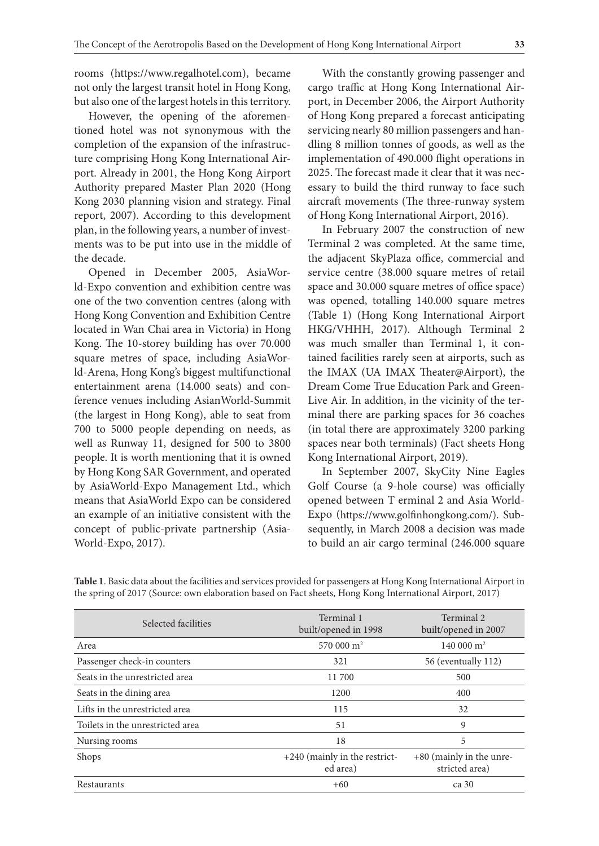rooms (https://www.regalhotel.com), became not only the largest transit hotel in Hong Kong, but also one of the largest hotels in this territory.

However, the opening of the aforementioned hotel was not synonymous with the completion of the expansion of the infrastructure comprising Hong Kong International Airport. Already in 2001, the Hong Kong Airport Authority prepared Master Plan 2020 (Hong Kong 2030 planning vision and strategy. Final report, 2007). According to this development plan, in the following years, a number of investments was to be put into use in the middle of the decade.

Opened in December 2005, AsiaWorld-Expo convention and exhibition centre was one of the two convention centres (along with Hong Kong Convention and Exhibition Centre located in Wan Chai area in Victoria) in Hong Kong. The 10-storey building has over 70.000 square metres of space, including AsiaWorld-Arena, Hong Kong's biggest multifunctional entertainment arena (14.000 seats) and conference venues including AsianWorld-Summit (the largest in Hong Kong), able to seat from 700 to 5000 people depending on needs, as well as Runway 11, designed for 500 to 3800 people. It is worth mentioning that it is owned by Hong Kong SAR Government, and operated by AsiaWorld-Expo Management Ltd., which means that AsiaWorld Expo can be considered an example of an initiative consistent with the concept of public-private partnership (Asia-World-Expo, 2017).

With the constantly growing passenger and cargo traffic at Hong Kong International Airport, in December 2006, the Airport Authority of Hong Kong prepared a forecast anticipating servicing nearly 80 million passengers and handling 8 million tonnes of goods, as well as the implementation of 490.000 flight operations in 2025. The forecast made it clear that it was necessary to build the third runway to face such aircraft movements (The three-runway system of Hong Kong International Airport, 2016).

In February 2007 the construction of new Terminal 2 was completed. At the same time, the adjacent SkyPlaza office, commercial and service centre (38.000 square metres of retail space and 30.000 square metres of office space) was opened, totalling 140.000 square metres (Table 1) (Hong Kong International Airport HKG/VHHH, 2017). Although Terminal 2 was much smaller than Terminal 1, it contained facilities rarely seen at airports, such as the IMAX (UA IMAX Theater@Airport), the Dream Come True Education Park and Green-Live Air. In addition, in the vicinity of the terminal there are parking spaces for 36 coaches (in total there are approximately 3200 parking spaces near both terminals) (Fact sheets Hong Kong International Airport, 2019).

In September 2007, SkyCity Nine Eagles Golf Course (a 9-hole course) was officially opened between T erminal 2 and Asia World-Expo (https://www.golfinhongkong.com/). Subsequently, in March 2008 a decision was made to build an air cargo terminal (246.000 square

| Selected facilities              | Terminal 1<br>built/opened in 1998          | Terminal 2<br>built/opened in 2007         |  |
|----------------------------------|---------------------------------------------|--------------------------------------------|--|
| Area                             | 570 000 $m2$                                | 140 000 $m2$                               |  |
| Passenger check-in counters      | 321                                         | 56 (eventually 112)                        |  |
| Seats in the unrestricted area   | 11700                                       | 500                                        |  |
| Seats in the dining area         | 1200                                        | 400                                        |  |
| Lifts in the unrestricted area   | 115                                         | 32                                         |  |
| Toilets in the unrestricted area | 51                                          | 9                                          |  |
| Nursing rooms                    | 18                                          | 5                                          |  |
| Shops                            | $+240$ (mainly in the restrict-<br>ed area) | +80 (mainly in the unre-<br>stricted area) |  |
| Restaurants                      | $+60$                                       | ca <sub>30</sub>                           |  |

**Table 1**. Basic data about the facilities and services provided for passengers at Hong Kong International Airport in the spring of 2017 (Source: own elaboration based on Fact sheets, Hong Kong International Airport, 2017)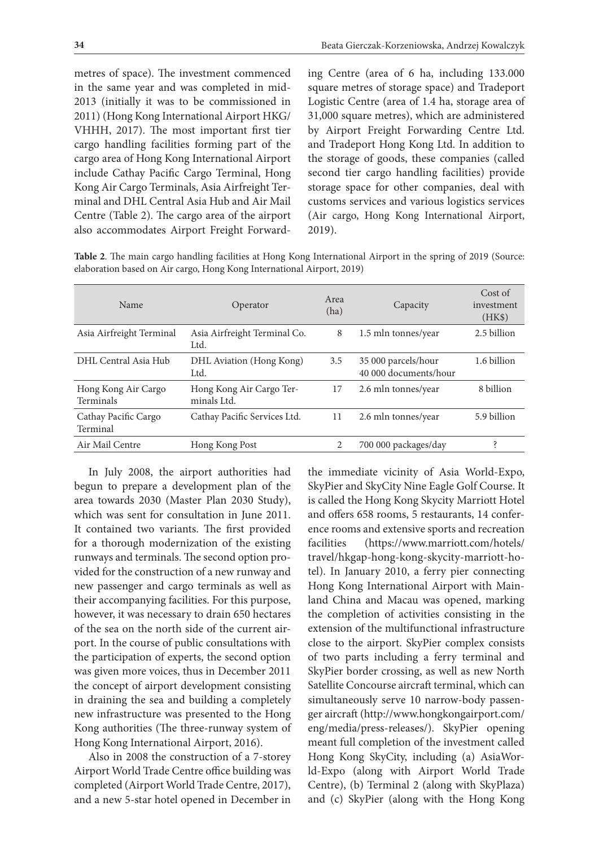metres of space). The investment commenced in the same year and was completed in mid-2013 (initially it was to be commissioned in 2011) (Hong Kong International Airport HKG/ VHHH, 2017). The most important first tier cargo handling facilities forming part of the cargo area of Hong Kong International Airport include Cathay Pacific Cargo Terminal, Hong Kong Air Cargo Terminals, Asia Airfreight Terminal and DHL Central Asia Hub and Air Mail Centre (Table 2). The cargo area of the airport also accommodates Airport Freight Forwarding Centre (area of 6 ha, including 133.000 square metres of storage space) and Tradeport Logistic Centre (area of 1.4 ha, storage area of 31,000 square metres), which are administered by Airport Freight Forwarding Centre Ltd. and Tradeport Hong Kong Ltd. In addition to the storage of goods, these companies (called second tier cargo handling facilities) provide storage space for other companies, deal with customs services and various logistics services (Air cargo, Hong Kong International Airport, 2019).

**Table 2**. The main cargo handling facilities at Hong Kong International Airport in the spring of 2019 (Source: elaboration based on Air cargo, Hong Kong International Airport, 2019)

| Name                             | Operator                                | Area<br>(ha) | Capacity                                     | Cost of<br>investment<br>$(HK\$ |
|----------------------------------|-----------------------------------------|--------------|----------------------------------------------|---------------------------------|
| Asia Airfreight Terminal         | Asia Airfreight Terminal Co.<br>Ltd.    | 8            | 1.5 mln tonnes/year                          | 2.5 billion                     |
| DHL Central Asia Hub             | DHL Aviation (Hong Kong)<br>Ltd.        | 3.5          | 35 000 parcels/hour<br>40 000 documents/hour | 1.6 billion                     |
| Hong Kong Air Cargo<br>Terminals | Hong Kong Air Cargo Ter-<br>minals Ltd. | 17           | 2.6 mln tonnes/year                          | 8 billion                       |
| Cathay Pacific Cargo<br>Terminal | Cathay Pacific Services Ltd.            | 11           | 2.6 mln tonnes/year                          | 5.9 billion                     |
| Air Mail Centre                  | Hong Kong Post                          | 2            | 700 000 packages/day                         | S                               |
|                                  |                                         |              |                                              |                                 |

In July 2008, the airport authorities had begun to prepare a development plan of the area towards 2030 (Master Plan 2030 Study), which was sent for consultation in June 2011. It contained two variants. The first provided for a thorough modernization of the existing runways and terminals. The second option provided for the construction of a new runway and new passenger and cargo terminals as well as their accompanying facilities. For this purpose, however, it was necessary to drain 650 hectares of the sea on the north side of the current airport. In the course of public consultations with the participation of experts, the second option was given more voices, thus in December 2011 the concept of airport development consisting in draining the sea and building a completely new infrastructure was presented to the Hong Kong authorities (The three-runway system of Hong Kong International Airport, 2016).

Also in 2008 the construction of a 7-storey Airport World Trade Centre office building was completed (Airport World Trade Centre, 2017), and a new 5-star hotel opened in December in

the immediate vicinity of Asia World-Expo, SkyPier and SkyCity Nine Eagle Golf Course. It is called the Hong Kong Skycity Marriott Hotel and offers 658 rooms, 5 restaurants, 14 conference rooms and extensive sports and recreation facilities (https://www.marriott.com/hotels/ travel/hkgap-hong-kong-skycity-marriott-hotel). In January 2010, a ferry pier connecting Hong Kong International Airport with Mainland China and Macau was opened, marking the completion of activities consisting in the extension of the multifunctional infrastructure close to the airport. SkyPier complex consists of two parts including a ferry terminal and SkyPier border crossing, as well as new North Satellite Concourse aircraft terminal, which can simultaneously serve 10 narrow-body passenger aircraft (http://www.hongkongairport.com/ eng/media/press-releases/). SkyPier opening meant full completion of the investment called Hong Kong SkyCity, including (a) AsiaWorld-Expo (along with Airport World Trade Centre), (b) Terminal 2 (along with SkyPlaza) and (c) SkyPier (along with the Hong Kong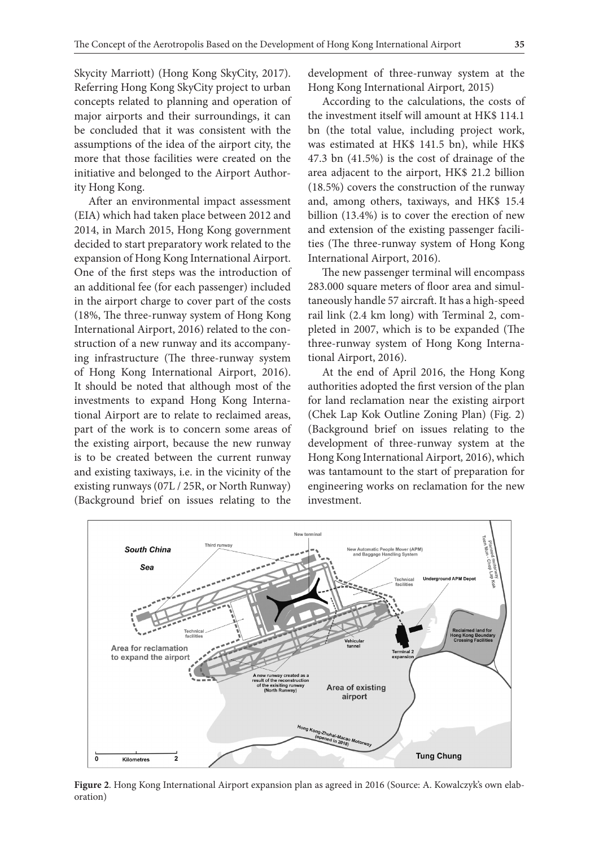Skycity Marriott) (Hong Kong SkyCity, 2017). Referring Hong Kong SkyCity project to urban concepts related to planning and operation of major airports and their surroundings, it can be concluded that it was consistent with the assumptions of the idea of the airport city, the more that those facilities were created on the initiative and belonged to the Airport Authority Hong Kong.

After an environmental impact assessment (EIA) which had taken place between 2012 and 2014, in March 2015, Hong Kong government decided to start preparatory work related to the expansion of Hong Kong International Airport. One of the first steps was the introduction of an additional fee (for each passenger) included in the airport charge to cover part of the costs (18%, The three-runway system of Hong Kong International Airport, 2016) related to the construction of a new runway and its accompanying infrastructure (The three-runway system of Hong Kong International Airport, 2016). It should be noted that although most of the investments to expand Hong Kong International Airport are to relate to reclaimed areas, part of the work is to concern some areas of the existing airport, because the new runway is to be created between the current runway and existing taxiways, i.e. in the vicinity of the existing runways (07L / 25R, or North Runway) (Background brief on issues relating to the

development of three-runway system at the Hong Kong International Airport*,* 2015)

According to the calculations, the costs of the investment itself will amount at HK\$ 114.1 bn (the total value, including project work, was estimated at HK\$ 141.5 bn), while HK\$ 47.3 bn (41.5%) is the cost of drainage of the area adjacent to the airport, HK\$ 21.2 billion (18.5%) covers the construction of the runway and, among others, taxiways, and HK\$ 15.4 billion (13.4%) is to cover the erection of new and extension of the existing passenger facilities (The three-runway system of Hong Kong International Airport, 2016).

The new passenger terminal will encompass 283.000 square meters of floor area and simultaneously handle 57 aircraft. It has a high-speed rail link (2.4 km long) with Terminal 2, completed in 2007, which is to be expanded (The three-runway system of Hong Kong International Airport, 2016).

At the end of April 2016, the Hong Kong authorities adopted the first version of the plan for land reclamation near the existing airport (Chek Lap Kok Outline Zoning Plan) (Fig. 2) (Background brief on issues relating to the development of three-runway system at the Hong Kong International Airport*,* 2016), which was tantamount to the start of preparation for engineering works on reclamation for the new investment.



**Figure 2**. Hong Kong International Airport expansion plan as agreed in 2016 (Source: A. Kowalczyk's own elaboration)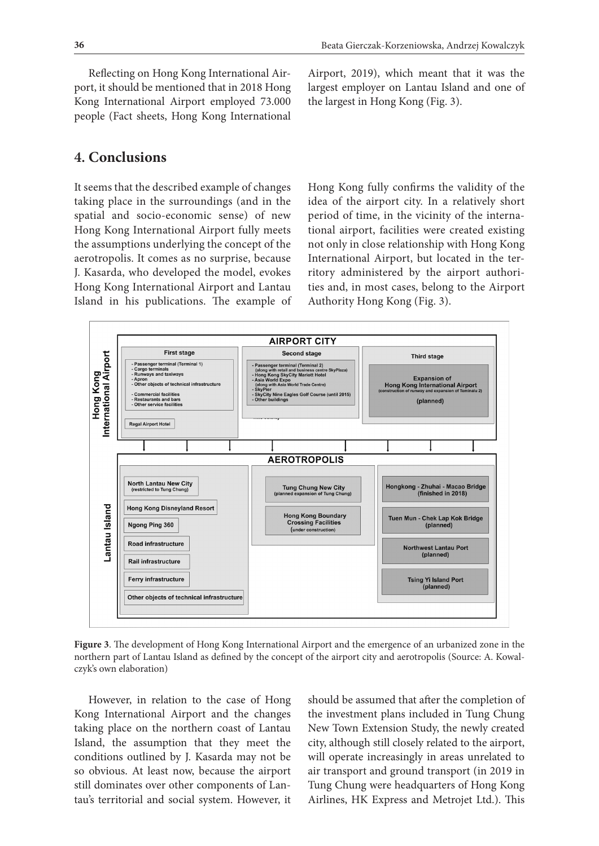Reflecting on Hong Kong International Airport, it should be mentioned that in 2018 Hong Kong International Airport employed 73.000 people (Fact sheets, Hong Kong International

#### **4. Conclusions**

It seems that the described example of changes taking place in the surroundings (and in the spatial and socio-economic sense) of new Hong Kong International Airport fully meets the assumptions underlying the concept of the aerotropolis. It comes as no surprise, because J. Kasarda, who developed the model, evokes Hong Kong International Airport and Lantau Island in his publications. The example of

Airport, 2019), which meant that it was the largest employer on Lantau Island and one of the largest in Hong Kong (Fig. 3).

Hong Kong fully confirms the validity of the idea of the airport city. In a relatively short period of time, in the vicinity of the international airport, facilities were created existing not only in close relationship with Hong Kong International Airport, but located in the territory administered by the airport authorities and, in most cases, belong to the Airport Authority Hong Kong (Fig. 3).



**Figure 3**. The development of Hong Kong International Airport and the emergence of an urbanized zone in the northern part of Lantau Island as defined by the concept of the airport city and aerotropolis (Source: A. Kowalczyk's own elaboration)

However, in relation to the case of Hong Kong International Airport and the changes taking place on the northern coast of Lantau Island, the assumption that they meet the conditions outlined by J. Kasarda may not be so obvious. At least now, because the airport still dominates over other components of Lantau's territorial and social system. However, it

should be assumed that after the completion of the investment plans included in Tung Chung New Town Extension Study, the newly created city, although still closely related to the airport, will operate increasingly in areas unrelated to air transport and ground transport (in 2019 in Tung Chung were headquarters of Hong Kong Airlines, HK Express and Metrojet Ltd.). This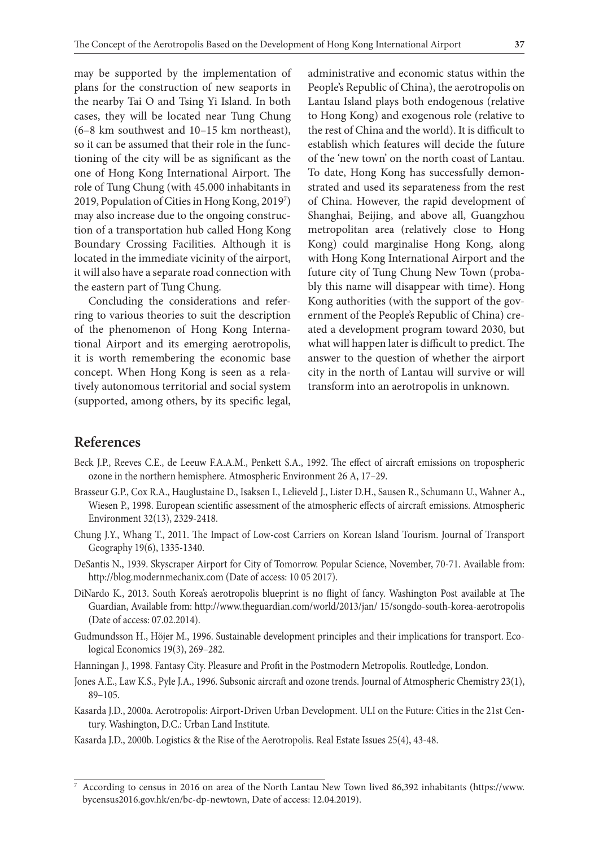may be supported by the implementation of plans for the construction of new seaports in the nearby Tai O and Tsing Yi Island. In both cases, they will be located near Tung Chung (6–8 km southwest and 10–15 km northeast), so it can be assumed that their role in the functioning of the city will be as significant as the one of Hong Kong International Airport. The role of Tung Chung (with 45.000 inhabitants in 2019, Population of Cities in Hong Kong, 20197 ) may also increase due to the ongoing construction of a transportation hub called Hong Kong Boundary Crossing Facilities. Although it is located in the immediate vicinity of the airport, it will also have a separate road connection with the eastern part of Tung Chung.

Concluding the considerations and referring to various theories to suit the description of the phenomenon of Hong Kong International Airport and its emerging aerotropolis, it is worth remembering the economic base concept. When Hong Kong is seen as a relatively autonomous territorial and social system (supported, among others, by its specific legal, administrative and economic status within the People's Republic of China), the aerotropolis on Lantau Island plays both endogenous (relative to Hong Kong) and exogenous role (relative to the rest of China and the world). It is difficult to establish which features will decide the future of the 'new town' on the north coast of Lantau. To date, Hong Kong has successfully demonstrated and used its separateness from the rest of China. However, the rapid development of Shanghai, Beijing, and above all, Guangzhou metropolitan area (relatively close to Hong Kong) could marginalise Hong Kong, along with Hong Kong International Airport and the future city of Tung Chung New Town (probably this name will disappear with time). Hong Kong authorities (with the support of the government of the People's Republic of China) created a development program toward 2030, but what will happen later is difficult to predict. The answer to the question of whether the airport city in the north of Lantau will survive or will transform into an aerotropolis in unknown.

#### **References**

- Beck J.P., Reeves C.E., de Leeuw F.A.A.M., Penkett S.A., 1992. The effect of aircraft emissions on tropospheric ozone in the northern hemisphere. Atmospheric Environment 26 A, 17–29.
- Brasseur G.P., Cox R.A., Hauglustaine D., Isaksen I., Lelieveld J., Lister D.H., Sausen R., Schumann U., Wahner A., Wiesen P., 1998. European scientific assessment of the atmospheric effects of aircraft emissions. Atmospheric Environment 32(13), 2329-2418.
- Chung J.Y., Whang T., 2011. The Impact of Low-cost Carriers on Korean Island Tourism. Journal of Transport Geography 19(6), 1335-1340.
- DeSantis N., 1939. Skyscraper Airport for City of Tomorrow. Popular Science, November, 70-71. Available from: http://blog.modernmechanix.com (Date of access: 10 05 2017).
- DiNardo K., 2013. South Korea's aerotropolis blueprint is no flight of fancy. Washington Post available at The Guardian, Available from: http://www.theguardian.com/world/2013/jan/ 15/songdo-south-korea-aerotropolis (Date of access: 07.02.2014).
- Gudmundsson H., Höjer M., 1996. Sustainable development principles and their implications for transport. Ecological Economics 19(3), 269–282.
- Hanningan J., 1998. Fantasy City. Pleasure and Profit in the Postmodern Metropolis. Routledge, London.
- Jones A.E., Law K.S., Pyle J.A., 1996. Subsonic aircraft and ozone trends. Journal of Atmospheric Chemistry 23(1), 89–105.
- Kasarda J.D., 2000a. Aerotropolis: Airport-Driven Urban Development. ULI on the Future: Cities in the 21st Century. Washington, D.C.: Urban Land Institute.
- Kasarda J.D., 2000b. Logistics & the Rise of the Aerotropolis. Real Estate Issues 25(4), 43-48.

<sup>7</sup> According to census in 2016 on area of the North Lantau New Town lived 86,392 inhabitants (https://www. bycensus2016.gov.hk/en/bc-dp-newtown, Date of access: 12.04.2019).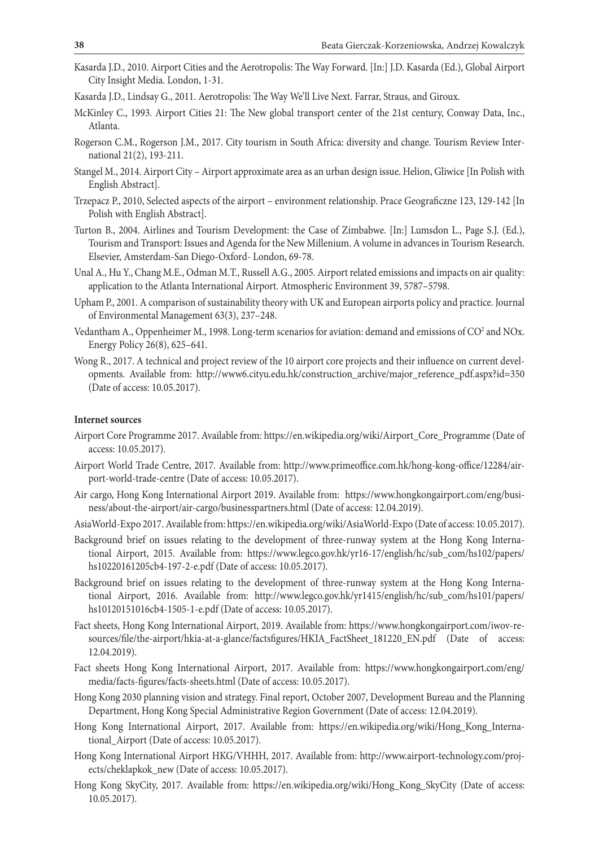- Kasarda J.D., 2010. Airport Cities and the Aerotropolis: The Way Forward. [In:] J.D. Kasarda (Ed.), Global Airport City Insight Media. London, 1-31.
- Kasarda J.D., Lindsay G., 2011. Aerotropolis: The Way We'll Live Next. Farrar, Straus, and Giroux.
- McKinley C., 1993. Airport Cities 21: The New global transport center of the 21st century, Conway Data, Inc., Atlanta.
- Rogerson C.M., Rogerson J.M., 2017. City tourism in South Africa: diversity and change. Tourism Review International 21(2), 193-211.
- Stangel M., 2014. Airport City Airport approximate area as an urban design issue. Helion, Gliwice [In Polish with English Abstract].
- Trzepacz P., 2010, Selected aspects of the airport environment relationship. Prace Geograficzne 123, 129-142 [In Polish with English Abstract].
- Turton B., 2004. Airlines and Tourism Development: the Case of Zimbabwe. [In:] Lumsdon L., Page S.J. (Ed.), Tourism and Transport: Issues and Agenda for the New Millenium. A volume in advances in Tourism Research. Elsevier, Amsterdam-San Diego-Oxford- London, 69-78.
- Unal A., Hu Y., Chang M.E., Odman M.T., Russell A.G., 2005. Airport related emissions and impacts on air quality: application to the Atlanta International Airport. Atmospheric Environment 39, 5787–5798.
- Upham P., 2001. A comparison of sustainability theory with UK and European airports policy and practice. Journal of Environmental Management 63(3), 237–248.
- Vedantham A., Oppenheimer M., 1998. Long-term scenarios for aviation: demand and emissions of  $CO<sup>2</sup>$  and NOx. Energy Policy 26(8), 625–641.
- Wong R., 2017. A technical and project review of the 10 airport core projects and their influence on current developments. Available from: http://www6.cityu.edu.hk/construction\_archive/major\_reference\_pdf.aspx?id=350 (Date of access: 10.05.2017).

#### **Internet sources**

- Airport Core Programme 2017. Available from: https://en.wikipedia.org/wiki/Airport\_Core\_Programme (Date of access: 10.05.2017).
- Airport World Trade Centre, 2017. Available from: http://www.primeoffice.com.hk/hong-kong-office/12284/airport-world-trade-centre (Date of access: 10.05.2017).
- Air cargo, Hong Kong International Airport 2019. Available from: https://www.hongkongairport.com/eng/business/about-the-airport/air-cargo/businesspartners.html (Date of access: 12.04.2019).
- AsiaWorld-Expo 2017. Available from: https://en.wikipedia.org/wiki/AsiaWorld-Expo (Date of access: 10.05.2017).
- Background brief on issues relating to the development of three-runway system at the Hong Kong International Airport, 2015. Available from: https://www.legco.gov.hk/yr16-17/english/hc/sub\_com/hs102/papers/ hs10220161205cb4-197-2-e.pdf (Date of access: 10.05.2017).
- Background brief on issues relating to the development of three-runway system at the Hong Kong International Airport, 2016. Available from: http://www.legco.gov.hk/yr1415/english/hc/sub\_com/hs101/papers/ hs10120151016cb4-1505-1-e.pdf (Date of access: 10.05.2017).
- Fact sheets, Hong Kong International Airport, 2019. Available from: https://www.hongkongairport.com/iwov-resources/file/the-airport/hkia-at-a-glance/factsfigures/HKIA\_FactSheet\_181220\_EN.pdf (Date of access: 12.04.2019).
- Fact sheets Hong Kong International Airport, 2017. Available from: https://www.hongkongairport.com/eng/ media/facts-figures/facts-sheets.html (Date of access: 10.05.2017).
- Hong Kong 2030 planning vision and strategy. Final report, October 2007, Development Bureau and the Planning Department, Hong Kong Special Administrative Region Government (Date of access: 12.04.2019).
- Hong Kong International Airport, 2017. Available from: https://en.wikipedia.org/wiki/Hong\_Kong\_International\_Airport (Date of access: 10.05.2017).
- Hong Kong International Airport HKG/VHHH, 2017. Available from: http://www.airport-technology.com/projects/cheklapkok\_new (Date of access: 10.05.2017).
- Hong Kong SkyCity, 2017. Available from: https://en.wikipedia.org/wiki/Hong\_Kong\_SkyCity (Date of access: 10.05.2017).